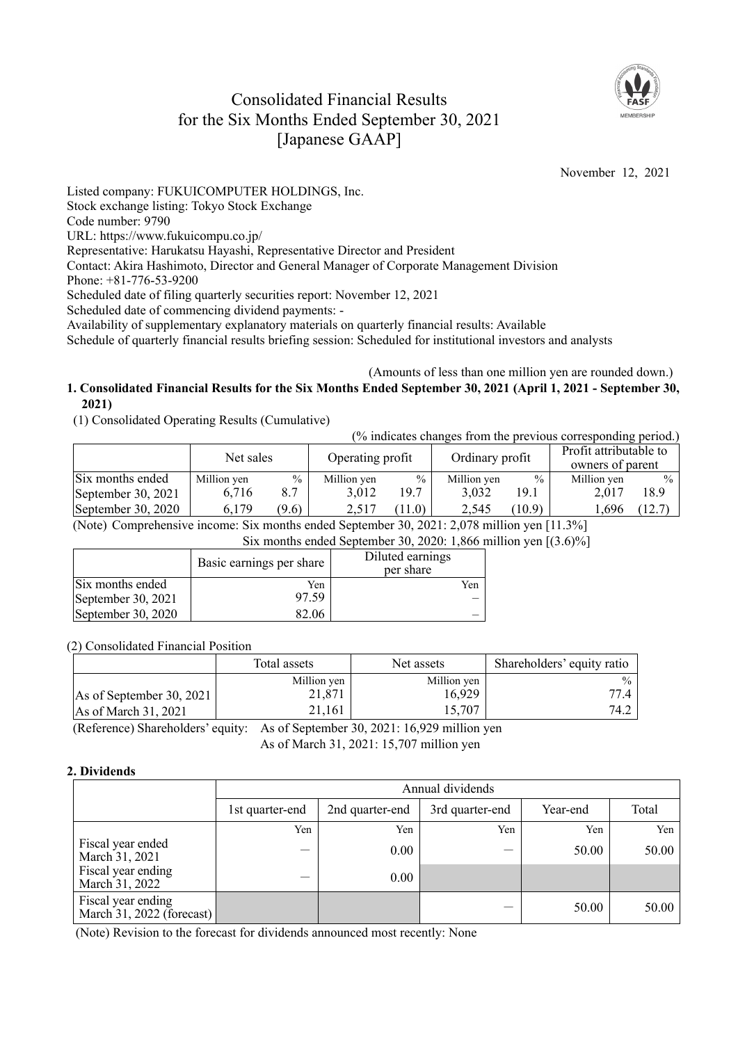# Consolidated Financial Results for the Six Months Ended September 30, 2021 [Japanese GAAP]



November 12, 2021

Listed company: FUKUICOMPUTER HOLDINGS, Inc. Stock exchange listing: Tokyo Stock Exchange Code number: 9790 URL: https://www.fukuicompu.co.jp/ Representative: Harukatsu Hayashi, Representative Director and President Contact: Akira Hashimoto, Director and General Manager of Corporate Management Division Phone: +81-776-53-9200 Scheduled date of filing quarterly securities report: November 12, 2021 Scheduled date of commencing dividend payments: - Availability of supplementary explanatory materials on quarterly financial results: Available

Schedule of quarterly financial results briefing session: Scheduled for institutional investors and analysts

#### (Amounts of less than one million yen are rounded down.) **1. Consolidated Financial Results for the Six Months Ended September 30, 2021 (April 1, 2021 - September 30, 2021)**

(1) Consolidated Operating Results (Cumulative)

| (% indicates changes from the previous corresponding period.) |                               |               |                 |               |                                            |        |             |               |
|---------------------------------------------------------------|-------------------------------|---------------|-----------------|---------------|--------------------------------------------|--------|-------------|---------------|
|                                                               | Net sales<br>Operating profit |               | Ordinary profit |               | Profit attributable to<br>owners of parent |        |             |               |
| Six months ended                                              | Million yen                   | $\frac{0}{0}$ | Million yen     | $\frac{0}{0}$ | Million yen                                | $\%$   | Million yen | $\frac{0}{0}$ |
| September 30, 2021                                            | 6.716                         | 8.7           | 3.012           | 19.7          | 3.032                                      | 19.1   | 2.017       | 18.9          |
| September 30, 2020                                            | 6,179                         | (9.6)         | 2,517           | 11.0          | 2,545                                      | (10.9) | .,696       | (12.7)        |

(Note) Comprehensive income: Six months ended September 30, 2021: 2,078 million yen [11.3%]

Six months ended September 30, 2020: 1,866 million yen [(3.6)%]

|                    | Basic earnings per share | Diluted earnings<br>per share |
|--------------------|--------------------------|-------------------------------|
| Six months ended   | Yen                      | Yen                           |
| September 30, 2021 | 97.59                    |                               |
| September 30, 2020 | 32.06                    |                               |

(2) Consolidated Financial Position

|                          | Total assets | Net assets  | Shareholders' equity ratio |
|--------------------------|--------------|-------------|----------------------------|
|                          | Million yen  | Million yen | $\frac{0}{0}$              |
| As of September 30, 2021 | 21,871       | 16,929      | 77.4                       |
| As of March 31, 2021     | 21.161       | 15,707      | 74.2                       |

(Reference) Shareholders' equity: As of September 30, 2021: 16,929 million yen As of March 31, 2021: 15,707 million yen

## **2. Dividends**

|                                                 | Annual dividends |                 |                 |          |       |  |  |
|-------------------------------------------------|------------------|-----------------|-----------------|----------|-------|--|--|
|                                                 | 1st quarter-end  | 2nd quarter-end | 3rd quarter-end | Year-end | Total |  |  |
|                                                 | Yen              | Yen             | Yen             | Yen      | Yen   |  |  |
| Fiscal year ended<br>March 31, 2021             |                  | 0.00            |                 | 50.00    | 50.00 |  |  |
| Fiscal year ending<br>March 31, 2022            |                  | 0.00            |                 |          |       |  |  |
| Fiscal year ending<br>March 31, 2022 (forecast) |                  |                 |                 | 50.00    | 50.00 |  |  |

(Note) Revision to the forecast for dividends announced most recently: None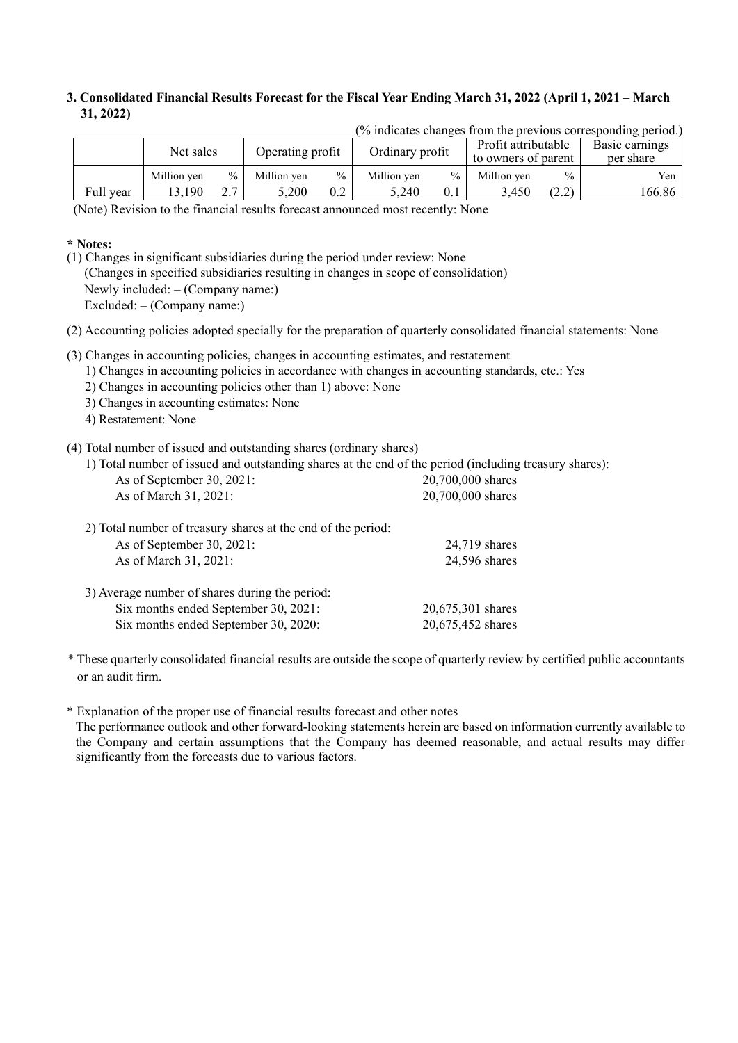## **3. Consolidated Financial Results Forecast for the Fiscal Year Ending March 31, 2022 (April 1, 2021 – March 31, 2022)**

|           |             |               |                  |               |                                                               |               |                             |       | 70 marcates changes from the previous corresponding period.) |
|-----------|-------------|---------------|------------------|---------------|---------------------------------------------------------------|---------------|-----------------------------|-------|--------------------------------------------------------------|
|           | Net sales   |               | Operating profit |               | Profit attributable<br>Ordinary profit<br>to owners of parent |               | Basic earnings<br>per share |       |                                                              |
|           | Million ven | $\frac{0}{0}$ | Million ven      | $\frac{0}{0}$ | Million ven                                                   | $\frac{0}{0}$ | Million ven                 | $\%$  | Yen                                                          |
| Full year | 13.190      |               | 5,200            | 0.2           | 5.240                                                         | 0.1           | 3.450                       | (2.2) | 166.86                                                       |

 $(%$  indicates changes from the previous corresponding period.)

(Note) Revision to the financial results forecast announced most recently: None

### **\* Notes:**

(1) Changes in significant subsidiaries during the period under review: None (Changes in specified subsidiaries resulting in changes in scope of consolidation) Newly included: – (Company name:) Excluded: – (Company name:)

(2) Accounting policies adopted specially for the preparation of quarterly consolidated financial statements: None

- (3) Changes in accounting policies, changes in accounting estimates, and restatement
	- 1) Changes in accounting policies in accordance with changes in accounting standards, etc.: Yes
	- 2) Changes in accounting policies other than 1) above: None
	- 3) Changes in accounting estimates: None
	- 4) Restatement: None

(4) Total number of issued and outstanding shares (ordinary shares)

|                              | 1) Total number of issued and outstanding shares at the end of the period (including treasury shares): |
|------------------------------|--------------------------------------------------------------------------------------------------------|
| As of September 30, $2021$ : | 20,700,000 shares                                                                                      |

| 2) Total number of treasury shares at the end of the period: |                   |
|--------------------------------------------------------------|-------------------|
| As of September 30, 2021:                                    | 24,719 shares     |
| As of March 31, 2021:                                        | 24,596 shares     |
| 3) Average number of shares during the period:               |                   |
| Six months ended September 30, 2021:                         | 20,675,301 shares |
| Six months ended September 30, 2020:                         | 20,675,452 shares |

As of March 31, 2021: 20,700,000 shares

\* These quarterly consolidated financial results are outside the scope of quarterly review by certified public accountants or an audit firm.

\* Explanation of the proper use of financial results forecast and other notes

The performance outlook and other forward-looking statements herein are based on information currently available to the Company and certain assumptions that the Company has deemed reasonable, and actual results may differ significantly from the forecasts due to various factors.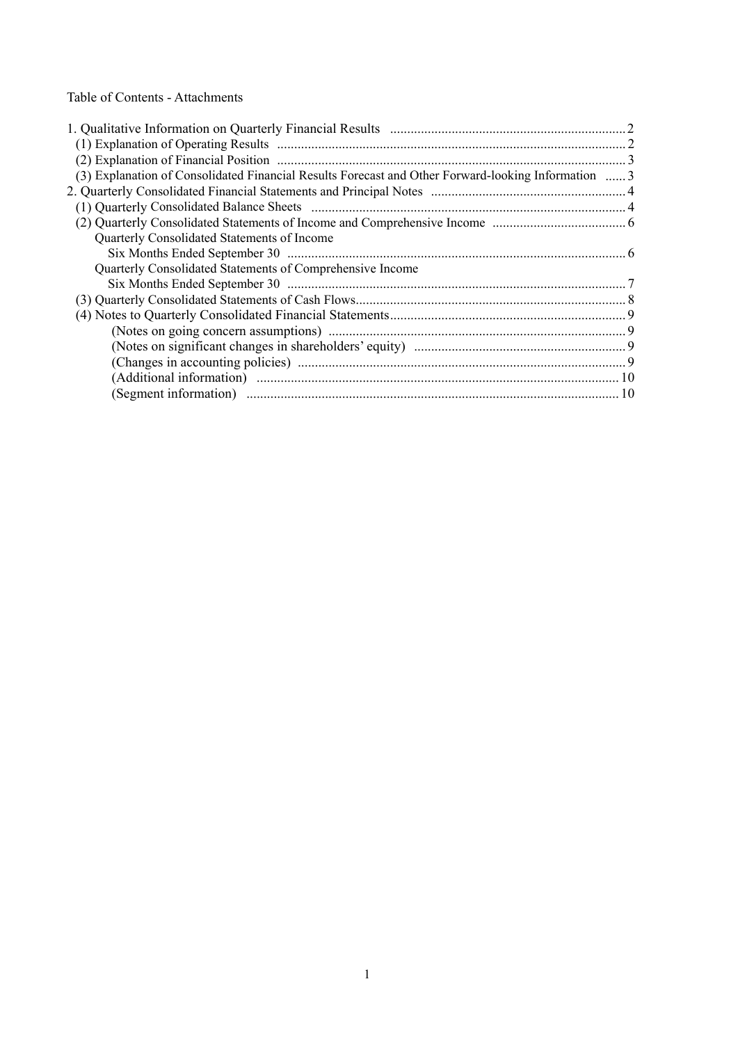Table of Contents - Attachments

| (2) Explanation of Financial Position manufactured contain the control of Financial Position manufactured and 3 |  |
|-----------------------------------------------------------------------------------------------------------------|--|
| (3) Explanation of Consolidated Financial Results Forecast and Other Forward-looking Information  3             |  |
|                                                                                                                 |  |
|                                                                                                                 |  |
|                                                                                                                 |  |
| Quarterly Consolidated Statements of Income                                                                     |  |
|                                                                                                                 |  |
| Quarterly Consolidated Statements of Comprehensive Income                                                       |  |
|                                                                                                                 |  |
|                                                                                                                 |  |
|                                                                                                                 |  |
|                                                                                                                 |  |
|                                                                                                                 |  |
|                                                                                                                 |  |
|                                                                                                                 |  |
|                                                                                                                 |  |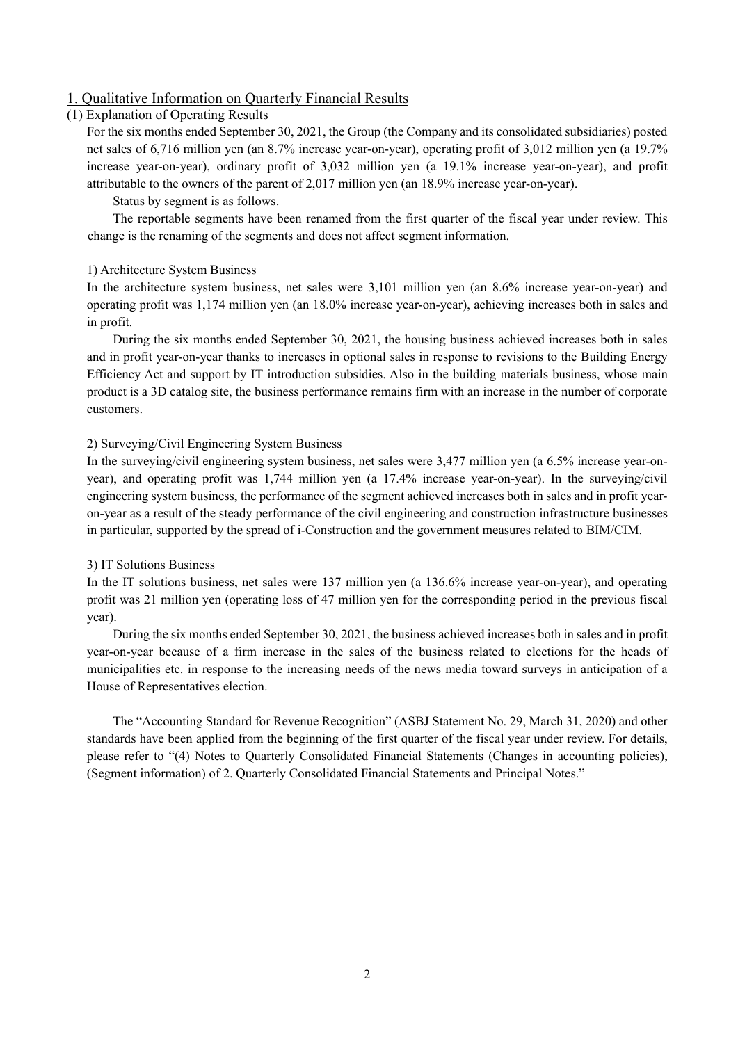### 1. Qualitative Information on Quarterly Financial Results

#### (1) Explanation of Operating Results

For the six months ended September 30, 2021, the Group (the Company and its consolidated subsidiaries) posted net sales of 6,716 million yen (an 8.7% increase year-on-year), operating profit of 3,012 million yen (a 19.7% increase year-on-year), ordinary profit of 3,032 million yen (a 19.1% increase year-on-year), and profit attributable to the owners of the parent of 2,017 million yen (an 18.9% increase year-on-year).

Status by segment is as follows.

The reportable segments have been renamed from the first quarter of the fiscal year under review. This change is the renaming of the segments and does not affect segment information.

#### 1) Architecture System Business

In the architecture system business, net sales were 3,101 million yen (an 8.6% increase year-on-year) and operating profit was 1,174 million yen (an 18.0% increase year-on-year), achieving increases both in sales and in profit.

During the six months ended September 30, 2021, the housing business achieved increases both in sales and in profit year-on-year thanks to increases in optional sales in response to revisions to the Building Energy Efficiency Act and support by IT introduction subsidies. Also in the building materials business, whose main product is a 3D catalog site, the business performance remains firm with an increase in the number of corporate customers.

#### 2) Surveying/Civil Engineering System Business

In the surveying/civil engineering system business, net sales were 3,477 million yen (a 6.5% increase year-onyear), and operating profit was 1,744 million yen (a 17.4% increase year-on-year). In the surveying/civil engineering system business, the performance of the segment achieved increases both in sales and in profit yearon-year as a result of the steady performance of the civil engineering and construction infrastructure businesses in particular, supported by the spread of i-Construction and the government measures related to BIM/CIM.

#### 3) IT Solutions Business

In the IT solutions business, net sales were 137 million yen (a 136.6% increase year-on-year), and operating profit was 21 million yen (operating loss of 47 million yen for the corresponding period in the previous fiscal year).

During the six months ended September 30, 2021, the business achieved increases both in sales and in profit year-on-year because of a firm increase in the sales of the business related to elections for the heads of municipalities etc. in response to the increasing needs of the news media toward surveys in anticipation of a House of Representatives election.

The "Accounting Standard for Revenue Recognition" (ASBJ Statement No. 29, March 31, 2020) and other standards have been applied from the beginning of the first quarter of the fiscal year under review. For details, please refer to "(4) Notes to Quarterly Consolidated Financial Statements (Changes in accounting policies), (Segment information) of 2. Quarterly Consolidated Financial Statements and Principal Notes."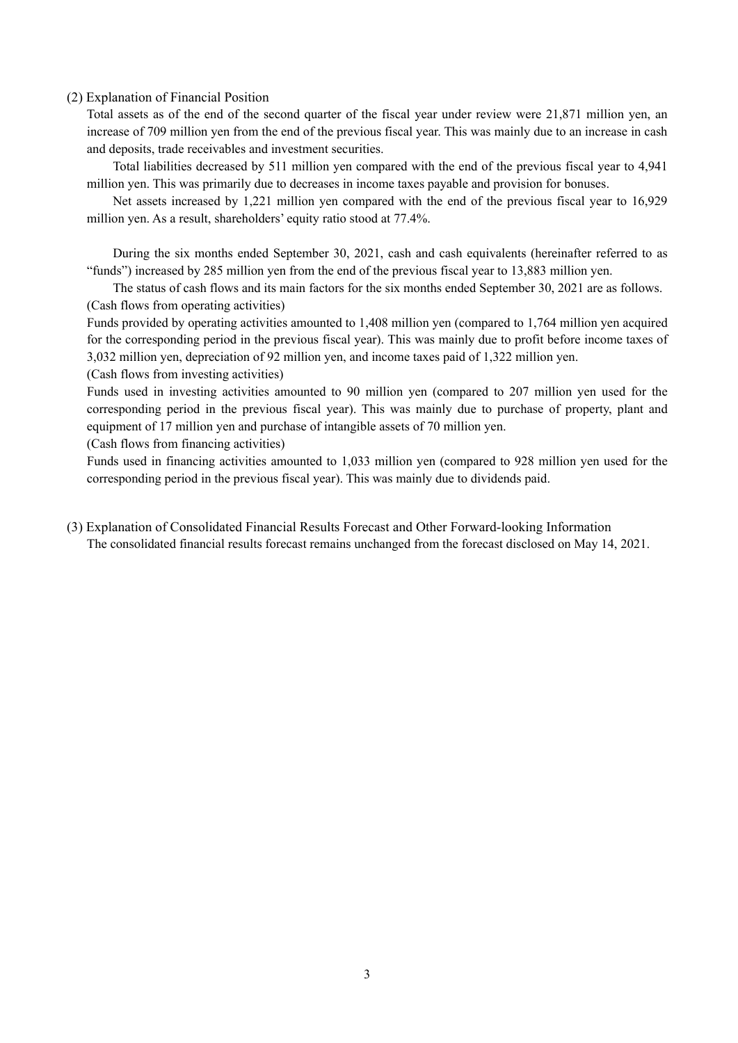#### (2) Explanation of Financial Position

Total assets as of the end of the second quarter of the fiscal year under review were 21,871 million yen, an increase of 709 million yen from the end of the previous fiscal year. This was mainly due to an increase in cash and deposits, trade receivables and investment securities.

Total liabilities decreased by 511 million yen compared with the end of the previous fiscal year to 4,941 million yen. This was primarily due to decreases in income taxes payable and provision for bonuses.

Net assets increased by 1,221 million yen compared with the end of the previous fiscal year to 16,929 million yen. As a result, shareholders' equity ratio stood at 77.4%.

During the six months ended September 30, 2021, cash and cash equivalents (hereinafter referred to as "funds") increased by 285 million yen from the end of the previous fiscal year to 13,883 million yen.

The status of cash flows and its main factors for the six months ended September 30, 2021 are as follows. (Cash flows from operating activities)

Funds provided by operating activities amounted to 1,408 million yen (compared to 1,764 million yen acquired for the corresponding period in the previous fiscal year). This was mainly due to profit before income taxes of 3,032 million yen, depreciation of 92 million yen, and income taxes paid of 1,322 million yen.

(Cash flows from investing activities)

Funds used in investing activities amounted to 90 million yen (compared to 207 million yen used for the corresponding period in the previous fiscal year). This was mainly due to purchase of property, plant and equipment of 17 million yen and purchase of intangible assets of 70 million yen.

(Cash flows from financing activities)

Funds used in financing activities amounted to 1,033 million yen (compared to 928 million yen used for the corresponding period in the previous fiscal year). This was mainly due to dividends paid.

(3) Explanation of Consolidated Financial Results Forecast and Other Forward-looking Information The consolidated financial results forecast remains unchanged from the forecast disclosed on May 14, 2021.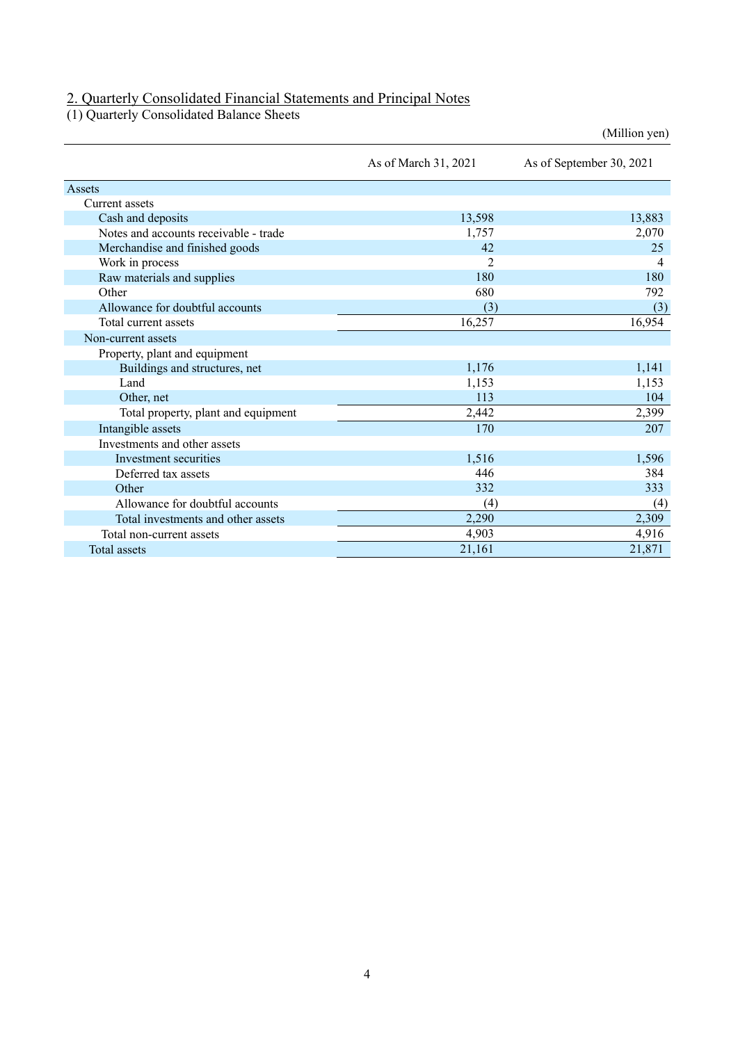## 2. Quarterly Consolidated Financial Statements and Principal Notes

(1) Quarterly Consolidated Balance Sheets

|                                       |                      | (Million yen)            |
|---------------------------------------|----------------------|--------------------------|
|                                       | As of March 31, 2021 | As of September 30, 2021 |
| Assets                                |                      |                          |
| Current assets                        |                      |                          |
| Cash and deposits                     | 13,598               | 13,883                   |
| Notes and accounts receivable - trade | 1,757                | 2,070                    |
| Merchandise and finished goods        | 42                   | 25                       |
| Work in process                       | $\overline{2}$       | 4                        |
| Raw materials and supplies            | 180                  | 180                      |
| Other                                 | 680                  | 792                      |
| Allowance for doubtful accounts       | (3)                  | (3)                      |
| Total current assets                  | 16,257               | 16,954                   |
| Non-current assets                    |                      |                          |
| Property, plant and equipment         |                      |                          |
| Buildings and structures, net         | 1,176                | 1,141                    |
| Land                                  | 1,153                | 1,153                    |
| Other, net                            | 113                  | 104                      |
| Total property, plant and equipment   | 2,442                | 2,399                    |
| Intangible assets                     | 170                  | 207                      |
| Investments and other assets          |                      |                          |
| Investment securities                 | 1,516                | 1,596                    |
| Deferred tax assets                   | 446                  | 384                      |
| Other                                 | 332                  | 333                      |
| Allowance for doubtful accounts       | (4)                  | (4)                      |
| Total investments and other assets    | 2,290                | 2,309                    |
| Total non-current assets              | 4,903                | 4,916                    |
| <b>Total</b> assets                   | 21,161               | 21,871                   |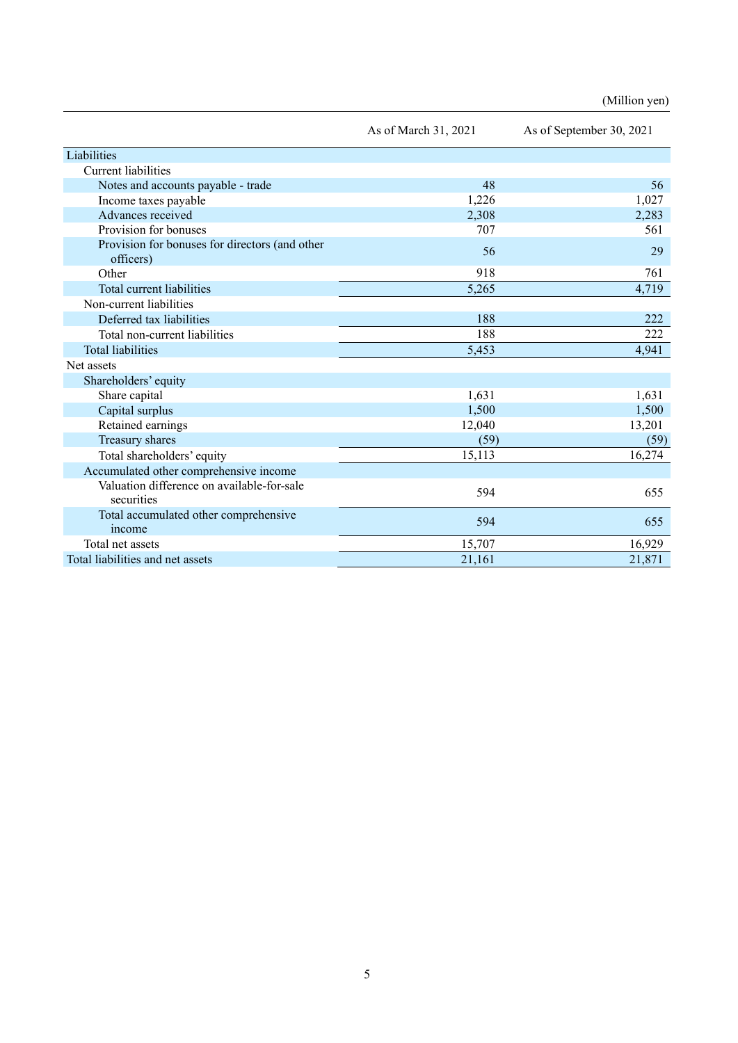|                                                             | As of March 31, 2021 | As of September 30, 2021 |
|-------------------------------------------------------------|----------------------|--------------------------|
| Liabilities                                                 |                      |                          |
| <b>Current liabilities</b>                                  |                      |                          |
| Notes and accounts payable - trade                          | 48                   | 56                       |
| Income taxes payable                                        | 1,226                | 1,027                    |
| Advances received                                           | 2,308                | 2,283                    |
| Provision for bonuses                                       | 707                  | 561                      |
| Provision for bonuses for directors (and other<br>officers) | 56                   | 29                       |
| Other                                                       | 918                  | 761                      |
| Total current liabilities                                   | 5,265                | 4,719                    |
| Non-current liabilities                                     |                      |                          |
| Deferred tax liabilities                                    | 188                  | 222                      |
| Total non-current liabilities                               | 188                  | 222                      |
| <b>Total liabilities</b>                                    | 5,453                | 4,941                    |
| Net assets                                                  |                      |                          |
| Shareholders' equity                                        |                      |                          |
| Share capital                                               | 1,631                | 1,631                    |
| Capital surplus                                             | 1,500                | 1,500                    |
| Retained earnings                                           | 12,040               | 13,201                   |
| Treasury shares                                             | (59)                 | (59)                     |
| Total shareholders' equity                                  | 15,113               | 16,274                   |
| Accumulated other comprehensive income                      |                      |                          |
| Valuation difference on available-for-sale<br>securities    | 594                  | 655                      |
| Total accumulated other comprehensive<br>income             | 594                  | 655                      |
| Total net assets                                            | 15,707               | 16,929                   |
| Total liabilities and net assets                            | 21,161               | 21,871                   |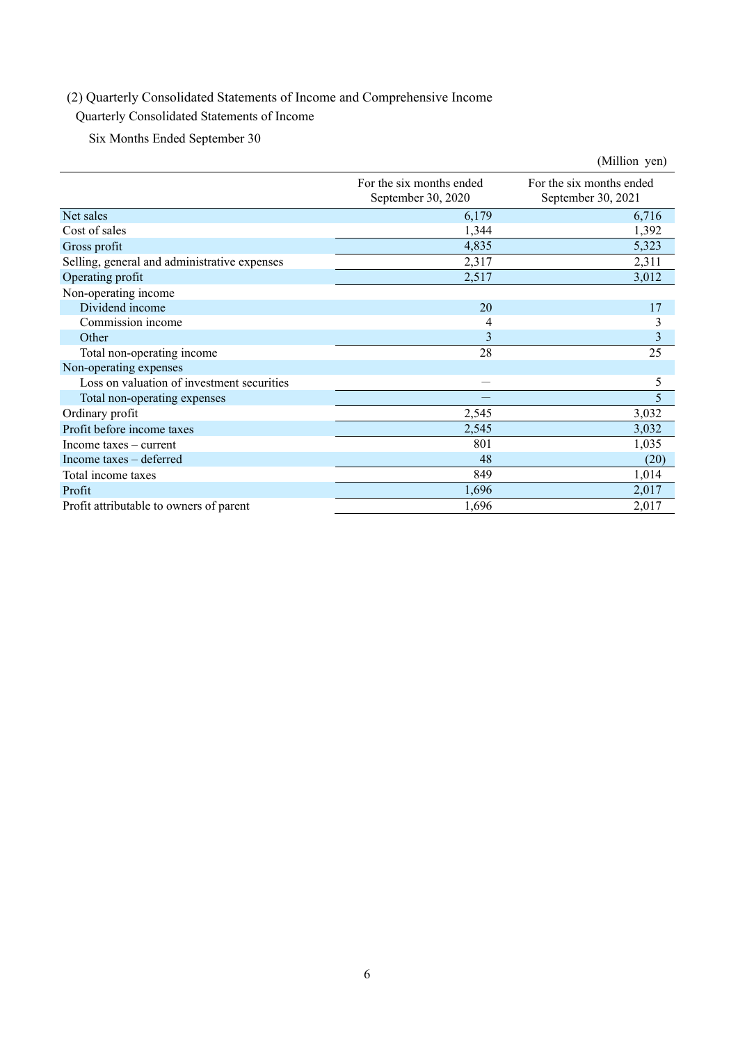## (2) Quarterly Consolidated Statements of Income and Comprehensive Income

## Quarterly Consolidated Statements of Income

Six Months Ended September 30

|                                              |                                                | (Million yen)                                  |
|----------------------------------------------|------------------------------------------------|------------------------------------------------|
|                                              | For the six months ended<br>September 30, 2020 | For the six months ended<br>September 30, 2021 |
| Net sales                                    | 6,179                                          | 6,716                                          |
| Cost of sales                                | 1,344                                          | 1,392                                          |
| Gross profit                                 | 4,835                                          | 5,323                                          |
| Selling, general and administrative expenses | 2,317                                          | 2,311                                          |
| Operating profit                             | 2,517                                          | 3,012                                          |
| Non-operating income                         |                                                |                                                |
| Dividend income                              | 20                                             | 17                                             |
| Commission income                            | 4                                              | 3                                              |
| Other                                        | 3                                              | 3                                              |
| Total non-operating income                   | 28                                             | 25                                             |
| Non-operating expenses                       |                                                |                                                |
| Loss on valuation of investment securities   |                                                | 5                                              |
| Total non-operating expenses                 |                                                | 5                                              |
| Ordinary profit                              | 2,545                                          | 3,032                                          |
| Profit before income taxes                   | 2,545                                          | 3,032                                          |
| Income $taxes - current$                     | 801                                            | 1,035                                          |
| Income taxes – deferred                      | 48                                             | (20)                                           |
| Total income taxes                           | 849                                            | 1,014                                          |
| Profit                                       | 1,696                                          | 2,017                                          |
| Profit attributable to owners of parent      | 1,696                                          | 2,017                                          |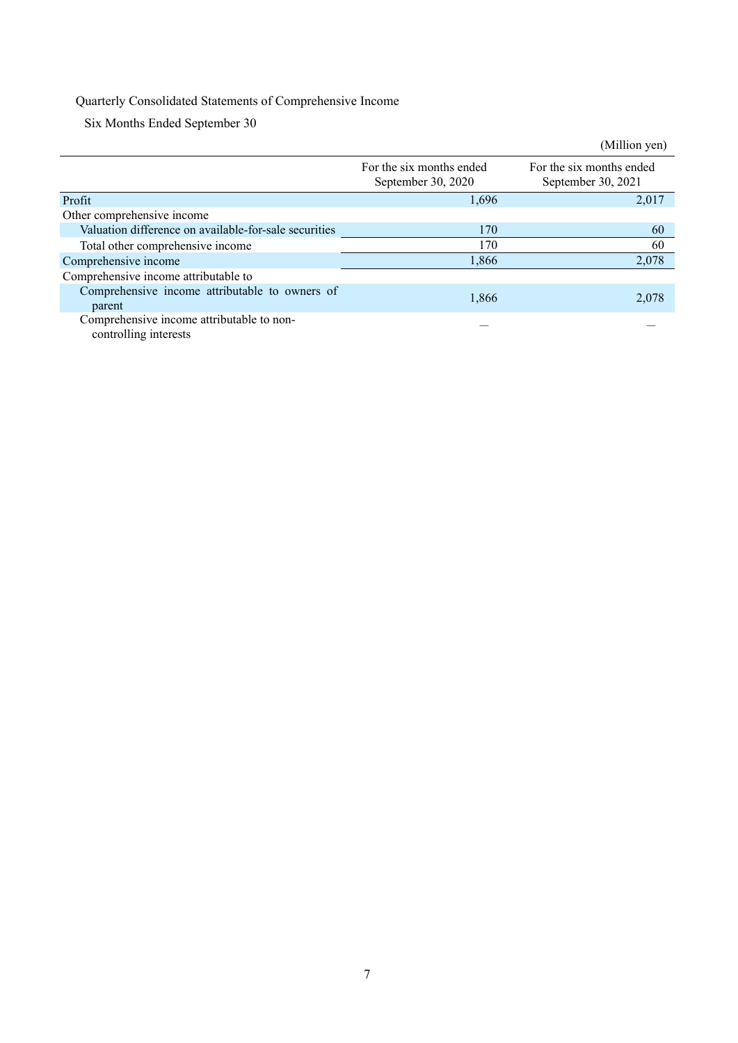## Quarterly Consolidated Statements of Comprehensive Income

Six Months Ended September 30

|                                                                    |                                                | (Million yen)                                  |
|--------------------------------------------------------------------|------------------------------------------------|------------------------------------------------|
|                                                                    | For the six months ended<br>September 30, 2020 | For the six months ended<br>September 30, 2021 |
| Profit                                                             | 1,696                                          | 2,017                                          |
| Other comprehensive income                                         |                                                |                                                |
| Valuation difference on available-for-sale securities              | 170                                            | 60                                             |
| Total other comprehensive income                                   | 170                                            | 60                                             |
| Comprehensive income                                               | 1.866                                          | 2,078                                          |
| Comprehensive income attributable to                               |                                                |                                                |
| Comprehensive income attributable to owners of<br>parent           | 1,866                                          | 2,078                                          |
| Comprehensive income attributable to non-<br>controlling interests |                                                |                                                |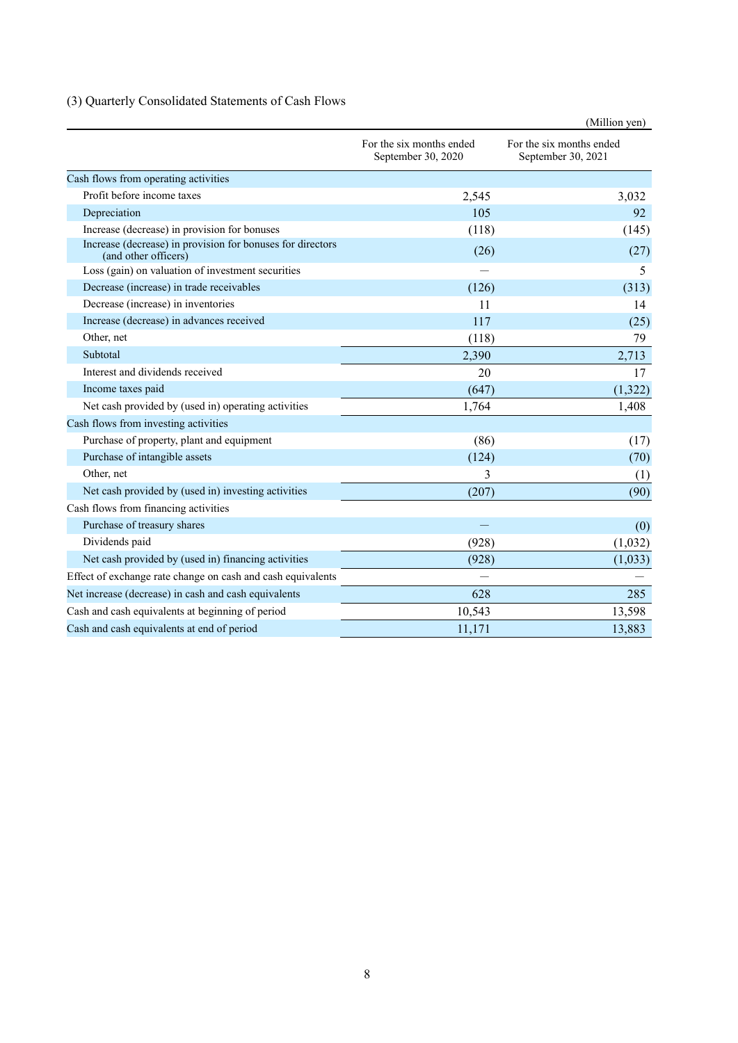## (3) Quarterly Consolidated Statements of Cash Flows

|                                                                                    |                                                | (Million yen)                                  |  |
|------------------------------------------------------------------------------------|------------------------------------------------|------------------------------------------------|--|
|                                                                                    | For the six months ended<br>September 30, 2020 | For the six months ended<br>September 30, 2021 |  |
| Cash flows from operating activities                                               |                                                |                                                |  |
| Profit before income taxes                                                         | 2,545                                          | 3,032                                          |  |
| Depreciation                                                                       | 105                                            | 92                                             |  |
| Increase (decrease) in provision for bonuses                                       | (118)                                          | (145)                                          |  |
| Increase (decrease) in provision for bonuses for directors<br>(and other officers) | (26)                                           | (27)                                           |  |
| Loss (gain) on valuation of investment securities                                  |                                                | 5                                              |  |
| Decrease (increase) in trade receivables                                           | (126)                                          | (313)                                          |  |
| Decrease (increase) in inventories                                                 | 11                                             | 14                                             |  |
| Increase (decrease) in advances received                                           | 117                                            | (25)                                           |  |
| Other, net                                                                         | (118)                                          | 79                                             |  |
| Subtotal                                                                           | 2,390                                          | 2,713                                          |  |
| Interest and dividends received                                                    | 20                                             | 17                                             |  |
| Income taxes paid                                                                  | (647)                                          | (1,322)                                        |  |
| Net cash provided by (used in) operating activities                                | 1,764                                          | 1,408                                          |  |
| Cash flows from investing activities                                               |                                                |                                                |  |
| Purchase of property, plant and equipment                                          | (86)                                           | (17)                                           |  |
| Purchase of intangible assets                                                      | (124)                                          | (70)                                           |  |
| Other, net                                                                         | 3                                              | (1)                                            |  |
| Net cash provided by (used in) investing activities                                | (207)                                          | (90)                                           |  |
| Cash flows from financing activities                                               |                                                |                                                |  |
| Purchase of treasury shares                                                        |                                                | (0)                                            |  |
| Dividends paid                                                                     | (928)                                          | (1,032)                                        |  |
| Net cash provided by (used in) financing activities                                | (928)                                          | (1,033)                                        |  |
| Effect of exchange rate change on cash and cash equivalents                        |                                                |                                                |  |
| Net increase (decrease) in cash and cash equivalents                               | 628                                            | 285                                            |  |
| Cash and cash equivalents at beginning of period                                   | 10,543                                         | 13,598                                         |  |
| Cash and cash equivalents at end of period                                         | 11,171                                         | 13,883                                         |  |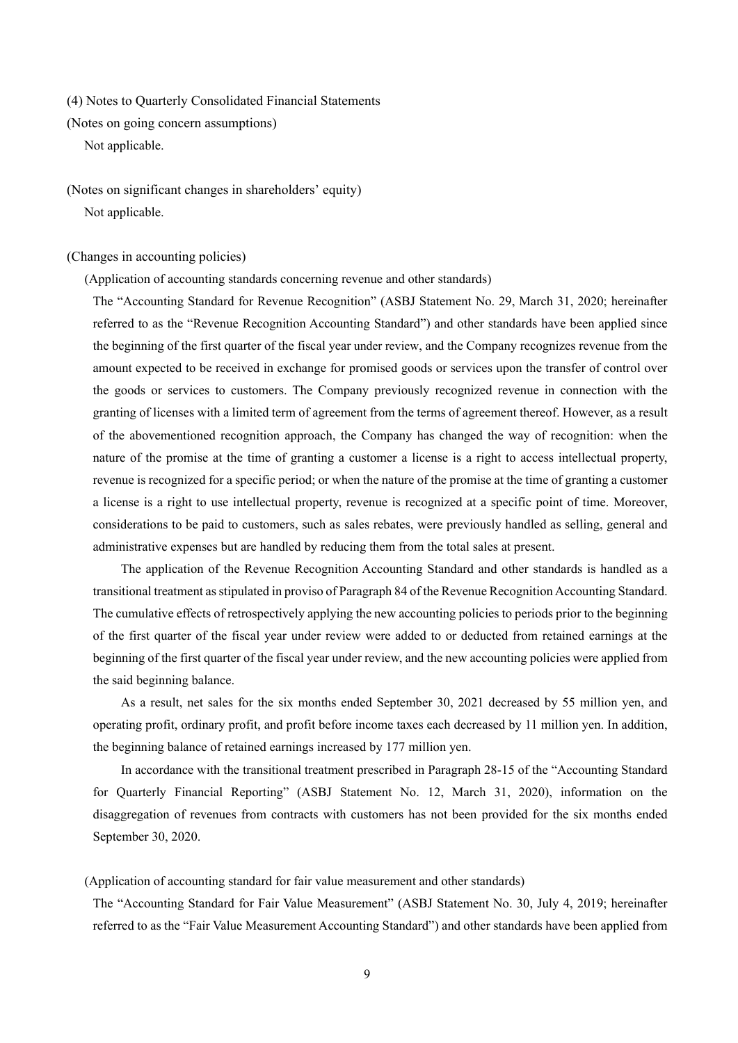(4) Notes to Quarterly Consolidated Financial Statements

(Notes on going concern assumptions)

Not applicable.

(Notes on significant changes in shareholders' equity) Not applicable.

(Changes in accounting policies)

(Application of accounting standards concerning revenue and other standards)

The "Accounting Standard for Revenue Recognition" (ASBJ Statement No. 29, March 31, 2020; hereinafter referred to as the "Revenue Recognition Accounting Standard") and other standards have been applied since the beginning of the first quarter of the fiscal year under review, and the Company recognizes revenue from the amount expected to be received in exchange for promised goods or services upon the transfer of control over the goods or services to customers. The Company previously recognized revenue in connection with the granting of licenses with a limited term of agreement from the terms of agreement thereof. However, as a result of the abovementioned recognition approach, the Company has changed the way of recognition: when the nature of the promise at the time of granting a customer a license is a right to access intellectual property, revenue is recognized for a specific period; or when the nature of the promise at the time of granting a customer a license is a right to use intellectual property, revenue is recognized at a specific point of time. Moreover, considerations to be paid to customers, such as sales rebates, were previously handled as selling, general and administrative expenses but are handled by reducing them from the total sales at present.

The application of the Revenue Recognition Accounting Standard and other standards is handled as a transitional treatment as stipulated in proviso of Paragraph 84 of the Revenue Recognition Accounting Standard. The cumulative effects of retrospectively applying the new accounting policies to periods prior to the beginning of the first quarter of the fiscal year under review were added to or deducted from retained earnings at the beginning of the first quarter of the fiscal year under review, and the new accounting policies were applied from the said beginning balance.

As a result, net sales for the six months ended September 30, 2021 decreased by 55 million yen, and operating profit, ordinary profit, and profit before income taxes each decreased by 11 million yen. In addition, the beginning balance of retained earnings increased by 177 million yen.

In accordance with the transitional treatment prescribed in Paragraph 28-15 of the "Accounting Standard for Quarterly Financial Reporting" (ASBJ Statement No. 12, March 31, 2020), information on the disaggregation of revenues from contracts with customers has not been provided for the six months ended September 30, 2020.

#### (Application of accounting standard for fair value measurement and other standards)

The "Accounting Standard for Fair Value Measurement" (ASBJ Statement No. 30, July 4, 2019; hereinafter referred to as the "Fair Value Measurement Accounting Standard") and other standards have been applied from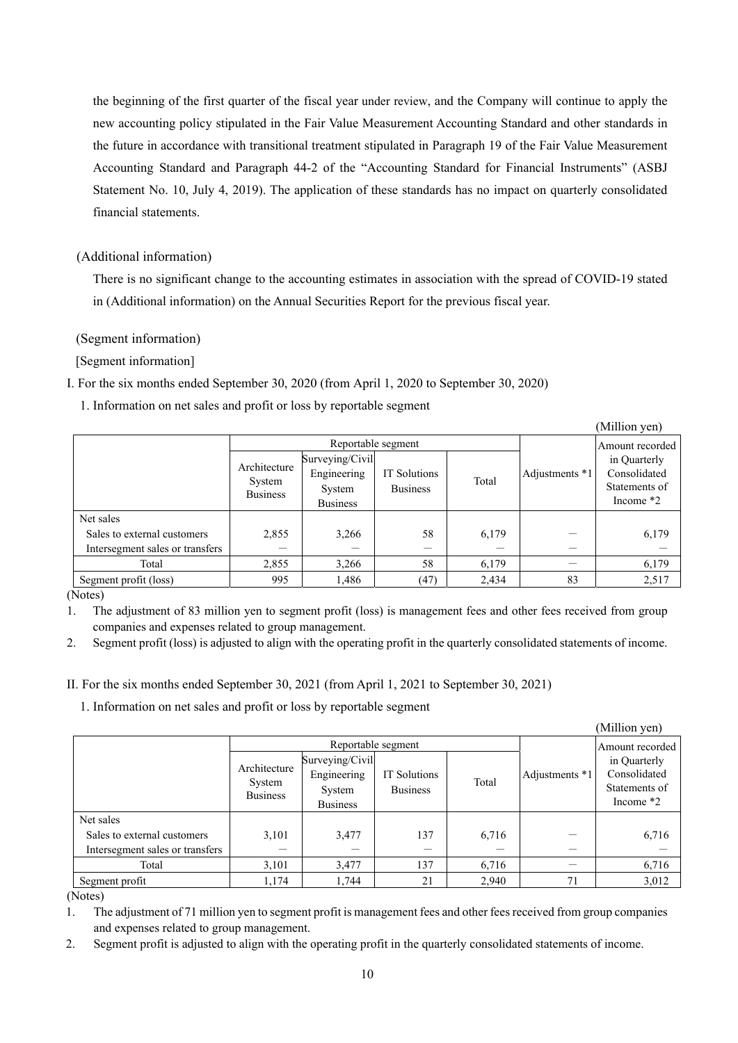the beginning of the first quarter of the fiscal year under review, and the Company will continue to apply the new accounting policy stipulated in the Fair Value Measurement Accounting Standard and other standards in the future in accordance with transitional treatment stipulated in Paragraph 19 of the Fair Value Measurement Accounting Standard and Paragraph 44-2 of the "Accounting Standard for Financial Instruments" (ASBJ Statement No. 10, July 4, 2019). The application of these standards has no impact on quarterly consolidated financial statements.

## (Additional information)

There is no significant change to the accounting estimates in association with the spread of COVID-19 stated in (Additional information) on the Annual Securities Report for the previous fiscal year.

(Segment information)

[Segment information]

I. For the six months ended September 30, 2020 (from April 1, 2020 to September 30, 2020)

1. Information on net sales and profit or loss by reportable segment

|                                 |                                           |                                                             |                                 |       |                | (Million yen)                                                |
|---------------------------------|-------------------------------------------|-------------------------------------------------------------|---------------------------------|-------|----------------|--------------------------------------------------------------|
|                                 | Reportable segment                        |                                                             |                                 |       |                | Amount recorded                                              |
|                                 | Architecture<br>System<br><b>Business</b> | Surveying/Civil<br>Engineering<br>System<br><b>Business</b> | IT Solutions<br><b>Business</b> | Total | Adjustments *1 | in Quarterly<br>Consolidated<br>Statements of<br>Income $*2$ |
| Net sales                       |                                           |                                                             |                                 |       |                |                                                              |
| Sales to external customers     | 2,855                                     | 3,266                                                       | 58                              | 6,179 |                | 6,179                                                        |
| Intersegment sales or transfers |                                           |                                                             |                                 |       |                |                                                              |
| Total                           | 2,855                                     | 3,266                                                       | 58                              | 6,179 |                | 6,179                                                        |
| Segment profit (loss)           | 995                                       | 1.486                                                       | (47)                            | 2,434 | 83             | 2,517                                                        |

(Notes)

1. The adjustment of 83 million yen to segment profit (loss) is management fees and other fees received from group companies and expenses related to group management.

2. Segment profit (loss) is adjusted to align with the operating profit in the quarterly consolidated statements of income.

II. For the six months ended September 30, 2021 (from April 1, 2021 to September 30, 2021)

1. Information on net sales and profit or loss by reportable segment

|                                 |                                           |                                                             |                                 |       |                | (Million yen)                                                |
|---------------------------------|-------------------------------------------|-------------------------------------------------------------|---------------------------------|-------|----------------|--------------------------------------------------------------|
|                                 | Reportable segment                        |                                                             |                                 |       |                | Amount recorded                                              |
|                                 | Architecture<br>System<br><b>Business</b> | Surveying/Civil<br>Engineering<br>System<br><b>Business</b> | IT Solutions<br><b>Business</b> | Total | Adjustments *1 | in Quarterly<br>Consolidated<br>Statements of<br>Income $*2$ |
| Net sales                       |                                           |                                                             |                                 |       |                |                                                              |
| Sales to external customers     | 3,101                                     | 3,477                                                       | 137                             | 6,716 |                | 6,716                                                        |
| Intersegment sales or transfers |                                           |                                                             |                                 |       |                |                                                              |
| Total                           | 3,101                                     | 3,477                                                       | 137                             | 6,716 |                | 6,716                                                        |
| Segment profit                  | 1,174                                     | 1,744                                                       | 21                              | 2,940 | 71             | 3,012                                                        |

(Notes)

1. The adjustment of 71 million yen to segment profit is management fees and other fees received from group companies and expenses related to group management.

2. Segment profit is adjusted to align with the operating profit in the quarterly consolidated statements of income.